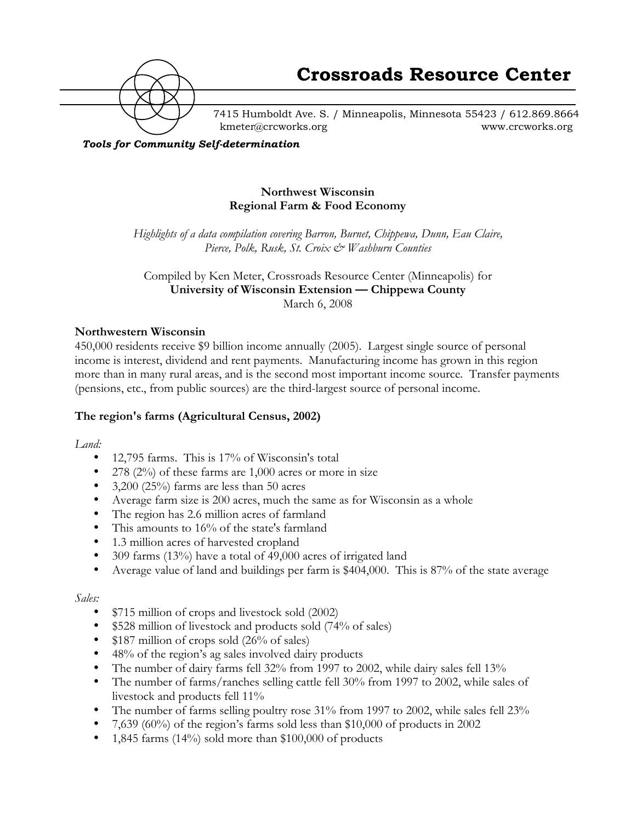

7415 Humboldt Ave. S. / Minneapolis, Minnesota 55423 / 612.869.8664 kmeter@crcworks.org www.crcworks.org

*Tools for Community Self-determination*

### **Northwest Wisconsin Regional Farm & Food Economy**

*Highlights of a data compilation covering Barron, Burnet, Chippewa, Dunn, Eau Claire, Pierce, Polk, Rusk, St. Croix & Washburn Counties*

Compiled by Ken Meter, Crossroads Resource Center (Minneapolis) for **University of Wisconsin Extension —!Chippewa County** March 6, 2008

### **Northwestern Wisconsin**

450,000 residents receive \$9 billion income annually (2005). Largest single source of personal income is interest, dividend and rent payments. Manufacturing income has grown in this region more than in many rural areas, and is the second most important income source. Transfer payments (pensions, etc., from public sources) are the third-largest source of personal income.

### **The region's farms (Agricultural Census, 2002)**

*Land:*

12,795 farms. This is 17% of Wisconsin's total 278 (2%) of these farms are 1,000 acres or more in size 3,200 (25%) farms are less than 50 acres Average farm size is 200 acres, much the same as for Wisconsin as a whole The region has 2.6 million acres of farmland This amounts to 16% of the state's farmland 1.3 million acres of harvested cropland 309 farms (13%) have a total of 49,000 acres of irrigated land Average value of land and buildings per farm is \$404,000. This is 87% of the state average

#### *Sales:*

\$715 million of crops and livestock sold (2002) \$528 million of livestock and products sold (74% of sales) \$187 million of crops sold (26% of sales) 48% of the region's ag sales involved dairy products The number of dairy farms fell 32% from 1997 to 2002, while dairy sales fell 13% The number of farms/ranches selling cattle fell 30% from 1997 to 2002, while sales of livestock and products fell 11% The number of farms selling poultry rose 31% from 1997 to 2002, while sales fell 23% 7,639 (60%) of the region's farms sold less than \$10,000 of products in 2002 1,845 farms (14%) sold more than \$100,000 of products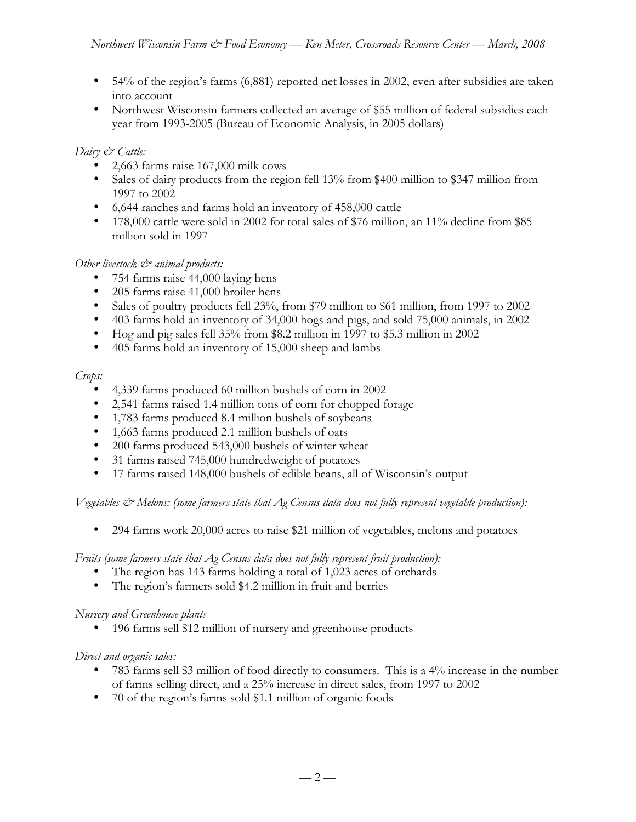54% of the region's farms (6,881) reported net losses in 2002, even after subsidies are taken into account

Northwest Wisconsin farmers collected an average of \$55 million of federal subsidies each year from 1993-2005 (Bureau of Economic Analysis, in 2005 dollars)

## *Dairy & Cattle:*

2,663 farms raise 167,000 milk cows

Sales of dairy products from the region fell 13% from \$400 million to \$347 million from 1997 to 2002

6,644 ranches and farms hold an inventory of 458,000 cattle

178,000 cattle were sold in 2002 for total sales of \$76 million, an 11% decline from \$85 million sold in 1997

# *Other livestock*  $\mathcal{O}^*$  animal products:

754 farms raise 44,000 laying hens

205 farms raise 41,000 broiler hens

Sales of poultry products fell 23%, from \$79 million to \$61 million, from 1997 to 2002 403 farms hold an inventory of 34,000 hogs and pigs, and sold 75,000 animals, in 2002 Hog and pig sales fell 35% from \$8.2 million in 1997 to \$5.3 million in 2002 405 farms hold an inventory of 15,000 sheep and lambs

# *Crops:*

4,339 farms produced 60 million bushels of corn in 2002 2,541 farms raised 1.4 million tons of corn for chopped forage 1,783 farms produced 8.4 million bushels of soybeans 1,663 farms produced 2.1 million bushels of oats 200 farms produced 543,000 bushels of winter wheat 31 farms raised 745,000 hundredweight of potatoes 17 farms raised 148,000 bushels of edible beans, all of Wisconsin's output

*Vegetables & Melons: (some farmers state that Ag Census data does not fully represent vegetable production):*

294 farms work 20,000 acres to raise \$21 million of vegetables, melons and potatoes

*Fruits (some farmers state that Ag Census data does not fully represent fruit production):* The region has 143 farms holding a total of 1,023 acres of orchards The region's farmers sold \$4.2 million in fruit and berries

## *Nursery and Greenhouse plants*

196 farms sell \$12 million of nursery and greenhouse products

# *Direct and organic sales:*

783 farms sell \$3 million of food directly to consumers. This is a 4% increase in the number of farms selling direct, and a 25% increase in direct sales, from 1997 to 2002 70 of the region's farms sold \$1.1 million of organic foods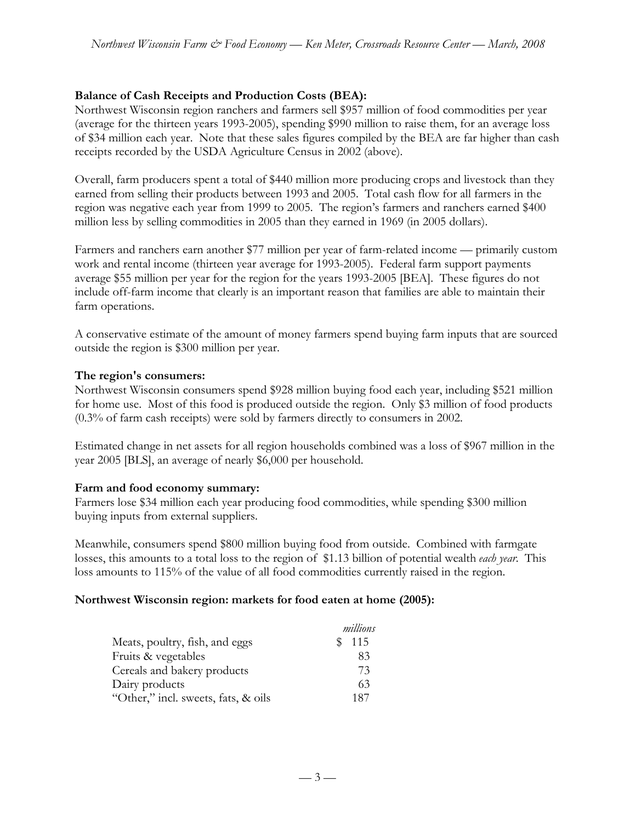### **Balance of Cash Receipts and Production Costs (BEA):**

Northwest Wisconsin region ranchers and farmers sell \$957 million of food commodities per year (average for the thirteen years 1993-2005), spending \$990 million to raise them, for an average loss of \$34 million each year. Note that these sales figures compiled by the BEA are far higher than cash receipts recorded by the USDA Agriculture Census in 2002 (above).

Overall, farm producers spent a total of \$440 million more producing crops and livestock than they earned from selling their products between 1993 and 2005. Total cash flow for all farmers in the region was negative each year from 1999 to 2005. The region's farmers and ranchers earned \$400 million less by selling commodities in 2005 than they earned in 1969 (in 2005 dollars).

Farmers and ranchers earn another \$77 million per year of farm-related income — primarily custom work and rental income (thirteen year average for 1993-2005). Federal farm support payments average \$55 million per year for the region for the years 1993-2005 [BEA]. These figures do not include off-farm income that clearly is an important reason that families are able to maintain their farm operations.

A conservative estimate of the amount of money farmers spend buying farm inputs that are sourced outside the region is \$300 million per year.

### **The region's consumers:**

Northwest Wisconsin consumers spend \$928 million buying food each year, including \$521 million for home use. Most of this food is produced outside the region. Only \$3 million of food products (0.3% of farm cash receipts) were sold by farmers directly to consumers in 2002.

Estimated change in net assets for all region households combined was a loss of \$967 million in the year 2005 [BLS], an average of nearly \$6,000 per household.

### **Farm and food economy summary:**

Farmers lose \$34 million each year producing food commodities, while spending \$300 million buying inputs from external suppliers.

Meanwhile, consumers spend \$800 million buying food from outside. Combined with farmgate losses, this amounts to a total loss to the region of \$1.13 billion of potential wealth *each year*. This loss amounts to 115% of the value of all food commodities currently raised in the region.

### **Northwest Wisconsin region: markets for food eaten at home (2005):**

|                                     | millions |
|-------------------------------------|----------|
| Meats, poultry, fish, and eggs      | \$115    |
| Fruits & vegetables                 | 83       |
| Cereals and bakery products         | 73       |
| Dairy products                      | 63       |
| "Other," incl. sweets, fats, & oils | 187      |